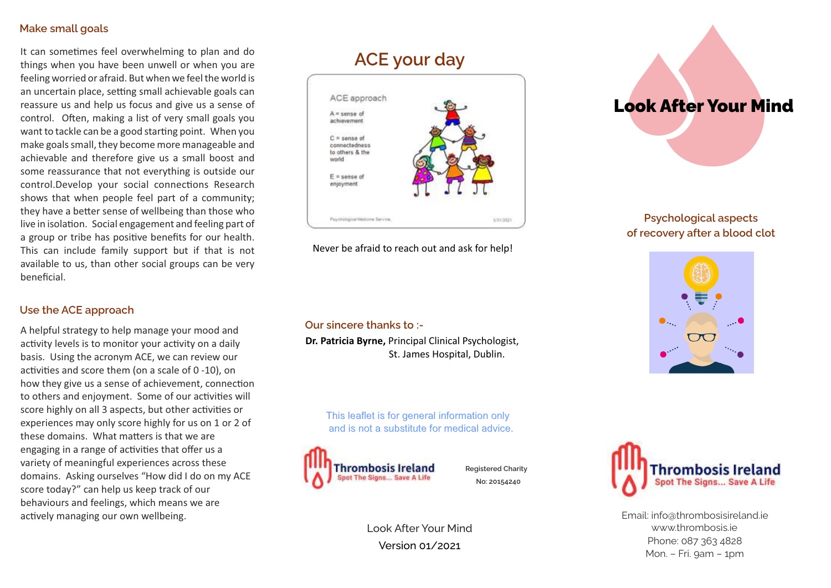#### Make small goals

It can sometimes feel overwhelming to plan and do things when you have been unwell or when you are feeling worried or afraid. But when we feel the world is an uncertain place, setting small achievable goals can reassure us and help us focus and give us a sense of control. Often, making a list of very small goals you want to tackle can be a good starting point. When you make goals small, they become more manageable and achievable and therefore give us a small boost and some reassurance that not everything is outside our control.Develop your social connections Research shows that when people feel part of a community; they have a better sense of wellbeing than those who live in isolation. Social engagement and feeling part of a group or tribe has positive benefits for our health. This can include family support but if that is not available to us, than other social groups can be very beneficial.

## Use the ACE approach

A helpful strategy to help manage your mood and activity levels is to monitor your activity on a daily basis. Using the acronym ACE, we can review our activities and score them (on a scale of  $0 - 10$ ), on how they give us a sense of achievement, connection to others and enjoyment. Some of our activities will score highly on all 3 aspects, but other activities or experiences may only score highly for us on 1 or 2 of these domains. What matters is that we are engaging in a range of activities that offer us a variety of meaningful experiences across these domains. Asking ourselves "How did I do on my ACE score today?" can help us keep track of our behaviours and feelings, which means we are actively managing our own wellbeing.



Never be afraid to reach out and ask for help!



# Psychological aspects of recovery after a blood clot



# Our sincere thanks to :-

**Dr. Patricia Byrne,** Principal Clinical Psychologist, St. James Hospital, Dublin.

> *This leaflet is for general information only and is not a substitute for medical advice.*



Registered Charity No: 20154240

Look After Your Mind Version 01/2021



Email: info@thrombosisireland.ie www.thrombosis.ie Phone: 087 363 4828 Mon. – Fri. 9am – 1pm